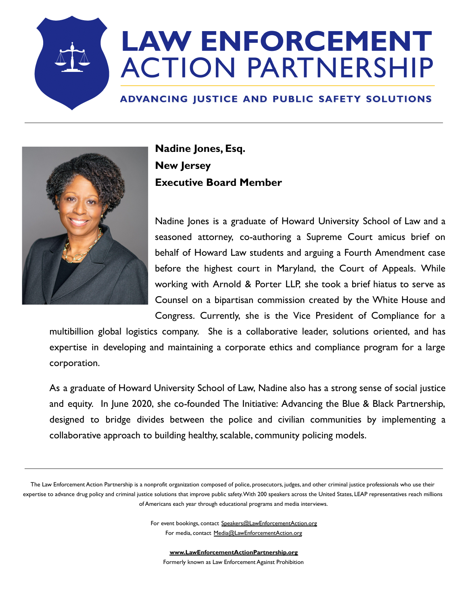## **LAW ENFORCEMENT ACTION PARTNERSHIP**

## ADVANCING JUSTICE AND PUBLIC SAFETY SOLUTIONS



**Nadine Jones, Esq. New Jersey Executive Board Member**

Nadine Jones is a graduate of Howard University School of Law and a seasoned attorney, co-authoring a Supreme Court amicus brief on behalf of Howard Law students and arguing a Fourth Amendment case before the highest court in Maryland, the Court of Appeals. While working with Arnold & Porter LLP, she took a brief hiatus to serve as Counsel on a bipartisan commission created by the White House and Congress. Currently, she is the Vice President of Compliance for a

multibillion global logistics company. She is a collaborative leader, solutions oriented, and has expertise in developing and maintaining a corporate ethics and compliance program for a large corporation.

As a graduate of Howard University School of Law, Nadine also has a strong sense of social justice and equity. In June 2020, she co-founded The Initiative: Advancing the Blue & Black Partnership, designed to bridge divides between the police and civilian communities by implementing a collaborative approach to building healthy, scalable, community policing models.

The Law Enforcement Action Partnership is a nonprofit organization composed of police, prosecutors, judges, and other criminal justice professionals who use their expertise to advance drug policy and criminal justice solutions that improve public safety.With 200 speakers across the United States, LEAP representatives reach millions of Americans each year through educational programs and media interviews.

> For event bookings, contact Speakers@LawEnforcementAction.org For media, contact Media@LawEnforcementAction.org

**www.LawEnforcementActionPartnership.org** Formerly known as Law Enforcement Against Prohibition